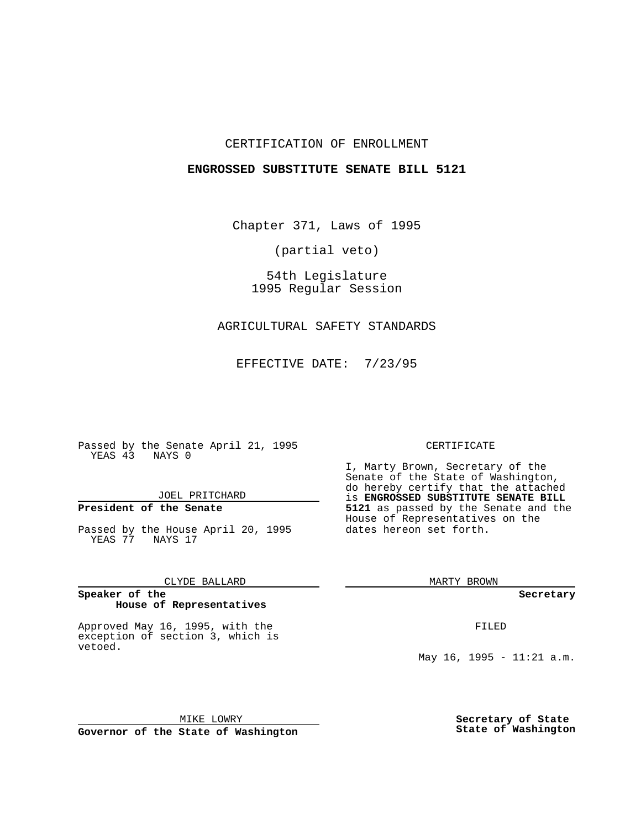## CERTIFICATION OF ENROLLMENT

## **ENGROSSED SUBSTITUTE SENATE BILL 5121**

Chapter 371, Laws of 1995

(partial veto)

54th Legislature 1995 Regular Session

## AGRICULTURAL SAFETY STANDARDS

EFFECTIVE DATE: 7/23/95

Passed by the Senate April 21, 1995 YEAS 43 NAYS 0

JOEL PRITCHARD

# **President of the Senate**

Passed by the House April 20, 1995 YEAS 77 NAYS 17

CLYDE BALLARD

#### **Speaker of the House of Representatives**

Approved May 16, 1995, with the exception of section 3, which is vetoed.

MIKE LOWRY **Governor of the State of Washington**

### CERTIFICATE

I, Marty Brown, Secretary of the Senate of the State of Washington, do hereby certify that the attached is **ENGROSSED SUBSTITUTE SENATE BILL 5121** as passed by the Senate and the House of Representatives on the dates hereon set forth.

MARTY BROWN

**Secretary**

FILED

May 16, 1995 - 11:21 a.m.

**Secretary of State State of Washington**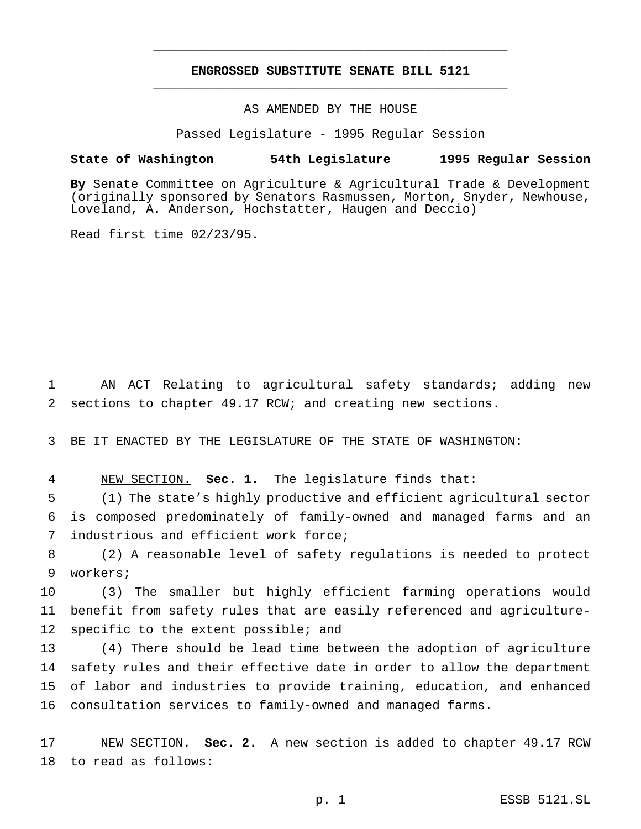# **ENGROSSED SUBSTITUTE SENATE BILL 5121** \_\_\_\_\_\_\_\_\_\_\_\_\_\_\_\_\_\_\_\_\_\_\_\_\_\_\_\_\_\_\_\_\_\_\_\_\_\_\_\_\_\_\_\_\_\_\_

\_\_\_\_\_\_\_\_\_\_\_\_\_\_\_\_\_\_\_\_\_\_\_\_\_\_\_\_\_\_\_\_\_\_\_\_\_\_\_\_\_\_\_\_\_\_\_

## AS AMENDED BY THE HOUSE

Passed Legislature - 1995 Regular Session

### **State of Washington 54th Legislature 1995 Regular Session**

**By** Senate Committee on Agriculture & Agricultural Trade & Development (originally sponsored by Senators Rasmussen, Morton, Snyder, Newhouse, Loveland, A. Anderson, Hochstatter, Haugen and Deccio)

Read first time 02/23/95.

1 AN ACT Relating to agricultural safety standards; adding new 2 sections to chapter 49.17 RCW; and creating new sections.

3 BE IT ENACTED BY THE LEGISLATURE OF THE STATE OF WASHINGTON:

4 NEW SECTION. **Sec. 1.** The legislature finds that:

5 (1) The state's highly productive and efficient agricultural sector 6 is composed predominately of family-owned and managed farms and an 7 industrious and efficient work force;

8 (2) A reasonable level of safety regulations is needed to protect 9 workers;

10 (3) The smaller but highly efficient farming operations would 11 benefit from safety rules that are easily referenced and agriculture-12 specific to the extent possible; and

 (4) There should be lead time between the adoption of agriculture safety rules and their effective date in order to allow the department of labor and industries to provide training, education, and enhanced consultation services to family-owned and managed farms.

17 NEW SECTION. **Sec. 2.** A new section is added to chapter 49.17 RCW 18 to read as follows: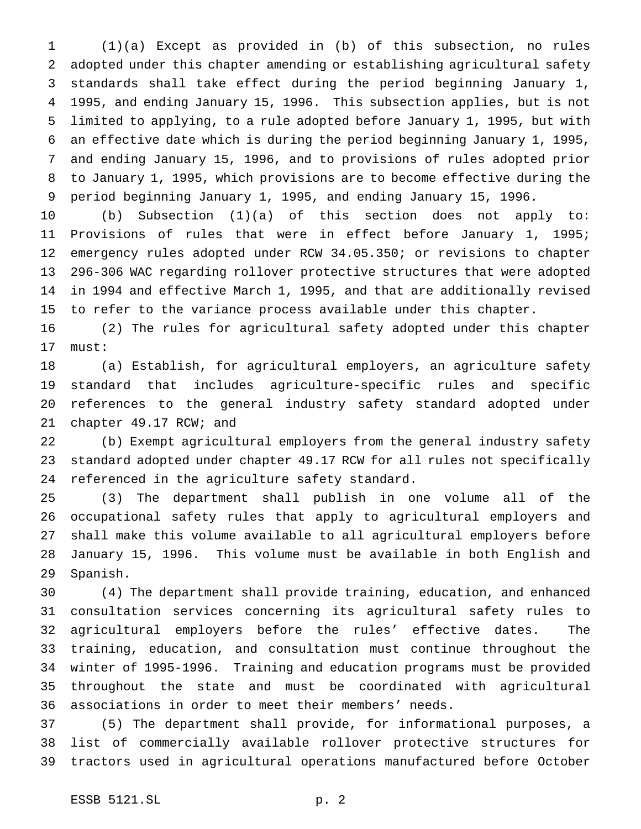(1)(a) Except as provided in (b) of this subsection, no rules adopted under this chapter amending or establishing agricultural safety standards shall take effect during the period beginning January 1, 1995, and ending January 15, 1996. This subsection applies, but is not limited to applying, to a rule adopted before January 1, 1995, but with an effective date which is during the period beginning January 1, 1995, and ending January 15, 1996, and to provisions of rules adopted prior to January 1, 1995, which provisions are to become effective during the period beginning January 1, 1995, and ending January 15, 1996.

 (b) Subsection (1)(a) of this section does not apply to: Provisions of rules that were in effect before January 1, 1995; emergency rules adopted under RCW 34.05.350; or revisions to chapter 296-306 WAC regarding rollover protective structures that were adopted in 1994 and effective March 1, 1995, and that are additionally revised to refer to the variance process available under this chapter.

 (2) The rules for agricultural safety adopted under this chapter must:

 (a) Establish, for agricultural employers, an agriculture safety standard that includes agriculture-specific rules and specific references to the general industry safety standard adopted under chapter 49.17 RCW; and

 (b) Exempt agricultural employers from the general industry safety standard adopted under chapter 49.17 RCW for all rules not specifically referenced in the agriculture safety standard.

 (3) The department shall publish in one volume all of the occupational safety rules that apply to agricultural employers and shall make this volume available to all agricultural employers before January 15, 1996. This volume must be available in both English and Spanish.

 (4) The department shall provide training, education, and enhanced consultation services concerning its agricultural safety rules to agricultural employers before the rules' effective dates. The training, education, and consultation must continue throughout the winter of 1995-1996. Training and education programs must be provided throughout the state and must be coordinated with agricultural associations in order to meet their members' needs.

 (5) The department shall provide, for informational purposes, a list of commercially available rollover protective structures for tractors used in agricultural operations manufactured before October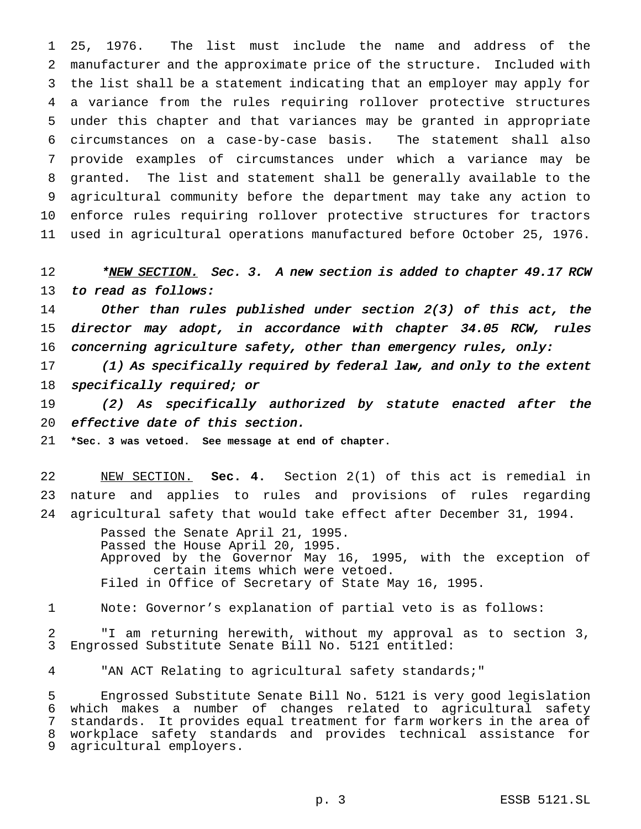25, 1976. The list must include the name and address of the manufacturer and the approximate price of the structure. Included with the list shall be a statement indicating that an employer may apply for a variance from the rules requiring rollover protective structures under this chapter and that variances may be granted in appropriate circumstances on a case-by-case basis. The statement shall also provide examples of circumstances under which a variance may be granted. The list and statement shall be generally available to the agricultural community before the department may take any action to enforce rules requiring rollover protective structures for tractors used in agricultural operations manufactured before October 25, 1976.

12 \*NEW SECTION. Sec. 3. A new section is added to chapter 49.17 RCW to read as follows:

 Other than rules published under section 2(3) of this act, the director may adopt, in accordance with chapter 34.05 RCW, rules 16 concerning agriculture safety, other than emergency rules, only:

 (1) As specifically required by federal law, and only to the extent 18 specifically required; or

 (2) As specifically authorized by statute enacted after the effective date of this section.

**\*Sec. 3 was vetoed. See message at end of chapter.**

 NEW SECTION. **Sec. 4.** Section 2(1) of this act is remedial in nature and applies to rules and provisions of rules regarding agricultural safety that would take effect after December 31, 1994.

> Passed the Senate April 21, 1995. Passed the House April 20, 1995. Approved by the Governor May 16, 1995, with the exception of certain items which were vetoed. Filed in Office of Secretary of State May 16, 1995.

Note: Governor's explanation of partial veto is as follows:

 "I am returning herewith, without my approval as to section 3, Engrossed Substitute Senate Bill No. 5121 entitled:

"AN ACT Relating to agricultural safety standards;"

 Engrossed Substitute Senate Bill No. 5121 is very good legislation which makes a number of changes related to agricultural safety standards. It provides equal treatment for farm workers in the area of workplace safety standards and provides technical assistance for agricultural employers.